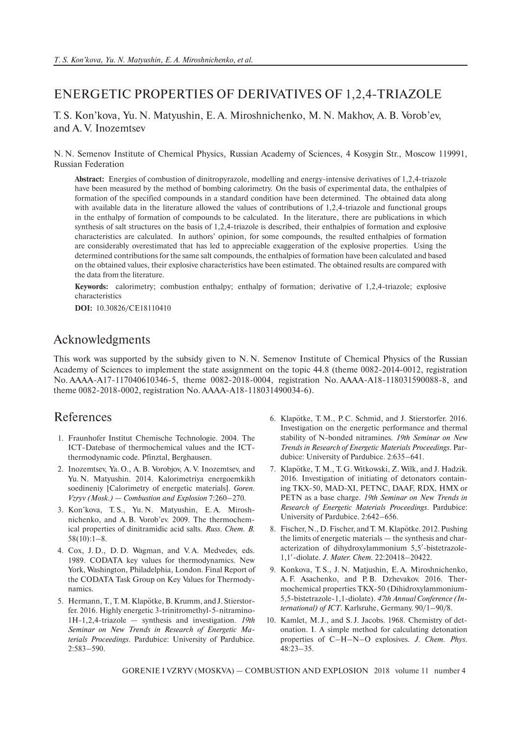## ENERGETIC PROPERTIES OF DERIVATIVES OF 1,2,4-TRIAZOLE

T. S. Kon'kova, Yu. N. Matyushin, E. A. Miroshnichenko, M. N. Makhov, A. B. Vorob'ev, and A. V. Inozemtsev

N. N. Semenov Institute of Chemical Physics, Russian Academy of Sciences, 4 Kosygin Str., Moscow 119991, Russian Federation

**Abstract:** Energies of combustion of dinitropyrazole, modelling and energy-intensive derivatives of 1,2,4-triazole have been measured by the method of bombing calorimetry. On the basis of experimental data, the enthalpies of formation of the specified compounds in a standard condition have been determined. The obtained data along with available data in the literature allowed the values of contributions of 1,2,4-triazole and functional groups in the enthalpy of formation of compounds to be calculated. In the literature, there are publications in which synthesis of salt structures on the basis of 1,2,4-triazole is described, their enthalpies of formation and explosive characteristics are calculated. In authors' opinion, for some compounds, the resulted enthalpies of formation are considerably overestimated that has led to appreciable exaggeration of the explosive properties. Using the determined contributions for the same salt compounds, the enthalpies of formation have been calculated and based on the obtained values, their explosive characteristics have been estimated. The obtained results are compared with the data from the literature.

**Keywords:** calorimetry; combustion enthalpy; enthalpy of formation; derivative of 1,2,4-triazole; explosive characteristics

**DOI:** 10.30826/CE18110410

## Acknowledgments

This work was supported by the subsidy given to N. N. Semenov Institute of Chemical Physics of the Russian Academy of Sciences to implement the state assignment on the topic 44.8 (theme 0082-2014-0012, registration No. АААА-А17-117040610346-5, theme 0082-2018-0004, registration No. АААА-А18-118031590088-8, and theme 0082-2018-0002, registration No. АААА-А18-118031490034-6).

## References

- 1. Fraunhofer Institut Chemische Technologie. 2004. The ICT-Datebase of thermochemical values and the ICTthermodynamic code. Pfinztal, Berghausen.
- 2. Inozemtsev, Ya. O., A. B. Vorobjov, A. V. Inozemtsev, and Yu. N. Matyushin. 2014. Kalorimetriya energoemkikh soedineniy [Calorimetry of energetic materials]. *Goren. Vzryv (Mosk.) — Combustion and Explosion* 7:260–270.
- 3. Kon'kova, T. S., Yu. N. Matyushin, E. A. Miroshnichenko, and A. B. Vorob'ev. 2009. The thermochemical properties of dinitramidic acid salts. *Russ. Chem. B.*  $58(10):1-8.$
- 4. Cox, J. D., D. D. Wagman, and V. A. Medvedev, eds. 1989. CODATA key values for thermodynamics. New York, Washington, Philadelphia, London. Final Report of the CODATA Task Group on Key Values for Thermodynamics.
- 5. Hermann, T., T. M. Klapötke, B. Krumm, and J. Stierstorfer. 2016. Highly energetic 3-trinitromethyl-5-nitramino-1H-1,2,4-triazole — synthesis and investigation. *19th Seminar on New Trends in Research of Energetic Materials Proceedings*. Pardubice: University of Pardubice. 2:583–590.
- 6. Klapotke, T. M., P. C. Schmid, and J. Stierstorfer. 2016. Investigation on the energetic performance and thermal stability of N-bonded nitramines. *19th Seminar on New Trends in Research of Energetic Materials Proceedings*. Pardubice: University of Pardubice. 2:635–641.
- 7. Klapotke, T. M., T. G. Witkowski, Z. Wilk, and J. Hadzik. 2016. Investigation of initiating of detonators containing TKX-50, MAD-XI, PETNC, DAAF, RDX, HMX or PETN as a base charge. *19th Seminar on New Trends in Research of Energetic Materials Proceedings*. Pardubice: University of Pardubice. 2:642–656.
- 8. Fischer, N., D. Fischer, and T. M. Klapötke. 2012. Pushing the limits of energetic materials — the synthesis and characterization of dihydroxylammonium 5,5′ -bistetrazole-1,1′ -diolate. *J. Mater. Chem.* 22:20418–20422.
- 9. Konkova, T. S., J. N. Matjushin, E. A. Miroshnichenko, A. F. Asachenko, and P. B. Dzhevakov. 2016. Thermochemical properties TKX-50 (Dihidroxylammonium-5,5-bistetrazole-1,1-diolate). *47th Annual Conference (International) of ICT*. Karlsruhe, Germany. 90/1–90/8.
- 10. Kamlet, M. J., and S. J. Jacobs. 1968. Chemistry of detonation. I. A simple method for calculating detonation properties of C–H–N–O explosives. *J. Chem. Phys.* 48:23–35.

GORENIE I VZRYV (MOSKVA) — COMBUSTION AND EXPLOSION 2018 volume 11 number 4